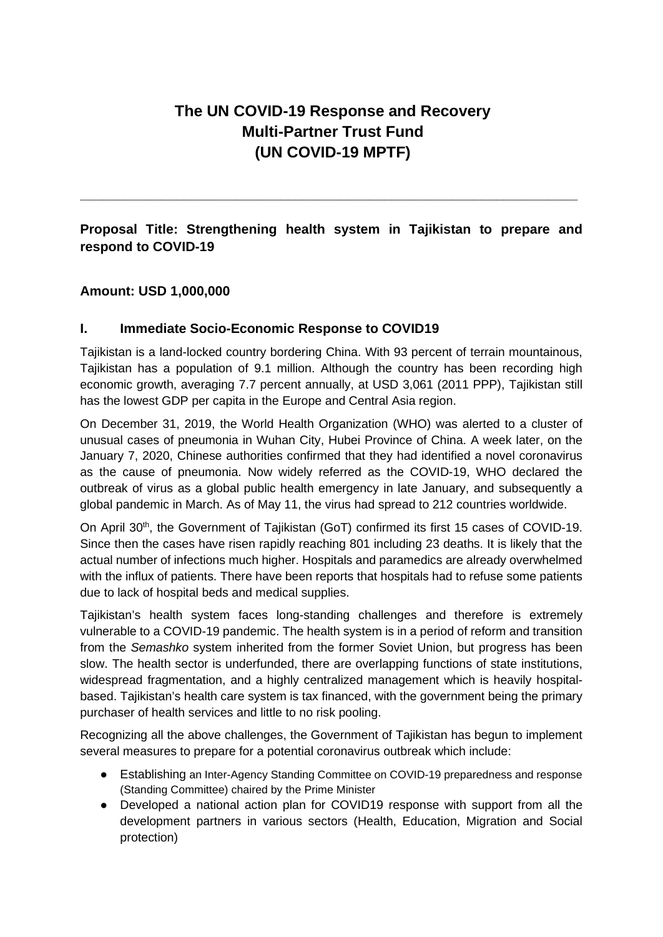## **The UN COVID-19 Response and Recovery Multi-Partner Trust Fund (UN COVID-19 MPTF)**

**Proposal Title: Strengthening health system in Tajikistan to prepare and respond to COVID-19**

**\_\_\_\_\_\_\_\_\_\_\_\_\_\_\_\_\_\_\_\_\_\_\_\_\_\_\_\_\_\_\_\_\_\_\_\_\_\_\_\_\_\_\_\_\_\_\_\_\_\_\_\_\_\_\_\_\_\_\_\_\_\_\_\_\_\_\_**

### **Amount: USD 1,000,000**

#### **I. Immediate Socio-Economic Response to COVID19**

Tajikistan is a land-locked country bordering China. With 93 percent of terrain mountainous, Tajikistan has a population of 9.1 million. Although the country has been recording high economic growth, averaging 7.7 percent annually, at USD 3,061 (2011 PPP), Tajikistan still has the lowest GDP per capita in the Europe and Central Asia region.

On December 31, 2019, the World Health Organization (WHO) was alerted to a cluster of unusual cases of pneumonia in Wuhan City, Hubei Province of China. A week later, on the January 7, 2020, Chinese authorities confirmed that they had identified a novel coronavirus as the cause of pneumonia. Now widely referred as the COVID-19, WHO declared the outbreak of virus as a global public health emergency in late January, and subsequently a global pandemic in March. As of May 11, the virus had spread to 212 countries worldwide.

On April 30<sup>th</sup>, the Government of Tajikistan (GoT) confirmed its first 15 cases of COVID-19. Since then the cases have risen rapidly reaching 801 including 23 deaths. It is likely that the actual number of infections much higher. Hospitals and paramedics are already overwhelmed with the influx of patients. There have been reports that hospitals had to refuse some patients due to lack of hospital beds and medical supplies.

Tajikistan's health system faces long-standing challenges and therefore is extremely vulnerable to a COVID-19 pandemic. The health system is in a period of reform and transition from the *Semashko* system inherited from the former Soviet Union, but progress has been slow. The health sector is underfunded, there are overlapping functions of state institutions, widespread fragmentation, and a highly centralized management which is heavily hospitalbased. Tajikistan's health care system is tax financed, with the government being the primary purchaser of health services and little to no risk pooling.

Recognizing all the above challenges, the Government of Tajikistan has begun to implement several measures to prepare for a potential coronavirus outbreak which include:

- Establishing an Inter-Agency Standing Committee on COVID-19 preparedness and response (Standing Committee) chaired by the Prime Minister
- Developed a national action plan for COVID19 response with support from all the development partners in various sectors (Health, Education, Migration and Social protection)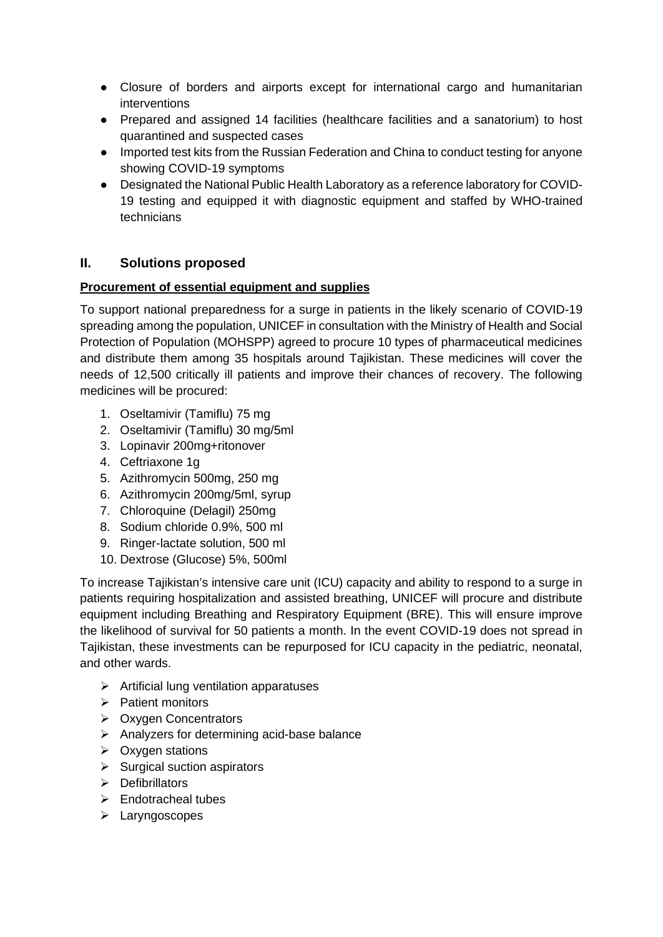- Closure of borders and airports except for international cargo and humanitarian interventions
- Prepared and assigned 14 facilities (healthcare facilities and a sanatorium) to host quarantined and suspected cases
- Imported test kits from the Russian Federation and China to conduct testing for anyone showing COVID-19 symptoms
- Designated the National Public Health Laboratory as a reference laboratory for COVID-19 testing and equipped it with diagnostic equipment and staffed by WHO-trained technicians

### **II. Solutions proposed**

#### **Procurement of essential equipment and supplies**

To support national preparedness for a surge in patients in the likely scenario of COVID-19 spreading among the population, UNICEF in consultation with the Ministry of Health and Social Protection of Population (MOHSPP) agreed to procure 10 types of pharmaceutical medicines and distribute them among 35 hospitals around Tajikistan. These medicines will cover the needs of 12,500 critically ill patients and improve their chances of recovery. The following medicines will be procured:

- 1. Oseltamivir (Tamiflu) 75 mg
- 2. Oseltamivir (Tamiflu) 30 mg/5ml
- 3. Lopinavir 200mg+ritonover
- 4. Ceftriaxone 1g
- 5. Azithromycin 500mg, 250 mg
- 6. Azithromycin 200mg/5ml, syrup
- 7. Chloroquine (Delagil) 250mg
- 8. Sodium chloride 0.9%, 500 ml
- 9. Ringer-lactate solution, 500 ml
- 10. Dextrose (Glucose) 5%, 500ml

To increase Tajikistan's intensive care unit (ICU) capacity and ability to respond to a surge in patients requiring hospitalization and assisted breathing, UNICEF will procure and distribute equipment including Breathing and Respiratory Equipment (BRE). This will ensure improve the likelihood of survival for 50 patients a month. In the event COVID-19 does not spread in Tajikistan, these investments can be repurposed for ICU capacity in the pediatric, neonatal, and other wards.

- $\triangleright$  Artificial lung ventilation apparatuses
- $\triangleright$  Patient monitors
- ▶ Oxygen Concentrators
- $\triangleright$  Analyzers for determining acid-base balance
- $\triangleright$  Oxygen stations
- $\triangleright$  Surgical suction aspirators
- $\triangleright$  Defibrillators
- $\triangleright$  Fndotracheal tubes
- > Laryngoscopes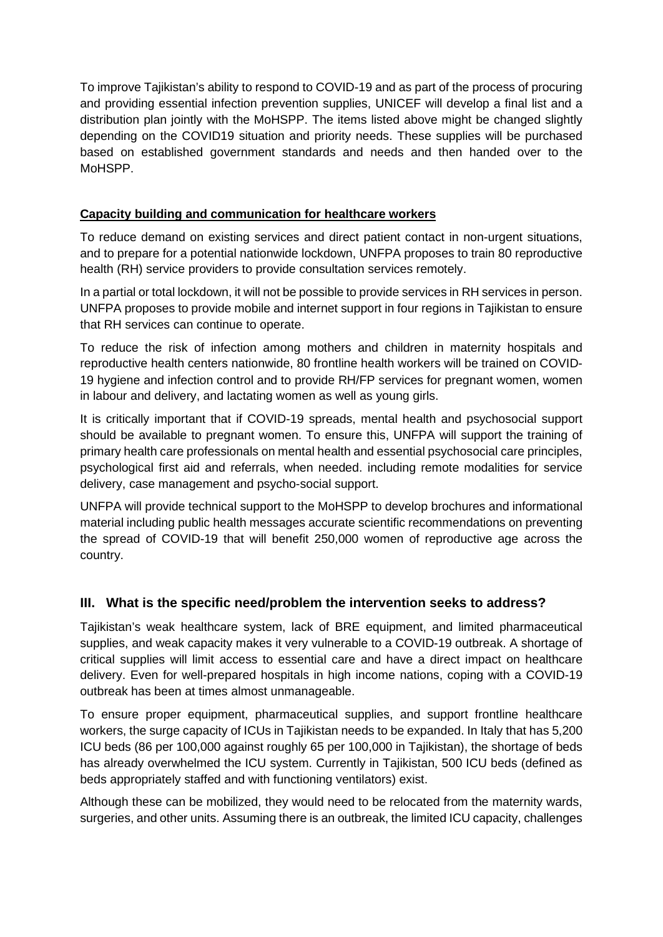To improve Tajikistan's ability to respond to COVID-19 and as part of the process of procuring and providing essential infection prevention supplies, UNICEF will develop a final list and a distribution plan jointly with the MoHSPP. The items listed above might be changed slightly depending on the COVID19 situation and priority needs. These supplies will be purchased based on established government standards and needs and then handed over to the MoHSPP.

#### **Capacity building and communication for healthcare workers**

To reduce demand on existing services and direct patient contact in non-urgent situations, and to prepare for a potential nationwide lockdown, UNFPA proposes to train 80 reproductive health (RH) service providers to provide consultation services remotely.

In a partial or total lockdown, it will not be possible to provide services in RH services in person. UNFPA proposes to provide mobile and internet support in four regions in Tajikistan to ensure that RH services can continue to operate.

To reduce the risk of infection among mothers and children in maternity hospitals and reproductive health centers nationwide, 80 frontline health workers will be trained on COVID-19 hygiene and infection control and to provide RH/FP services for pregnant women, women in labour and delivery, and lactating women as well as young girls.

It is critically important that if COVID-19 spreads, mental health and psychosocial support should be available to pregnant women. To ensure this, UNFPA will support the training of primary health care professionals on mental health and essential psychosocial care principles, psychological first aid and referrals, when needed. including remote modalities for service delivery, case management and psycho-social support.

UNFPA will provide technical support to the MoHSPP to develop brochures and informational material including public health messages accurate scientific recommendations on preventing the spread of COVID-19 that will benefit 250,000 women of reproductive age across the country.

### **III. What is the specific need/problem the intervention seeks to address?**

Tajikistan's weak healthcare system, lack of BRE equipment, and limited pharmaceutical supplies, and weak capacity makes it very vulnerable to a COVID-19 outbreak. A shortage of critical supplies will limit access to essential care and have a direct impact on healthcare delivery. Even for well-prepared hospitals in high income nations, coping with a COVID-19 outbreak has been at times almost unmanageable.

To ensure proper equipment, pharmaceutical supplies, and support frontline healthcare workers, the surge capacity of ICUs in Tajikistan needs to be expanded. In Italy that has 5,200 ICU beds (86 per 100,000 against roughly 65 per 100,000 in Tajikistan), the shortage of beds has already overwhelmed the ICU system. Currently in Tajikistan, 500 ICU beds (defined as beds appropriately staffed and with functioning ventilators) exist.

Although these can be mobilized, they would need to be relocated from the maternity wards, surgeries, and other units. Assuming there is an outbreak, the limited ICU capacity, challenges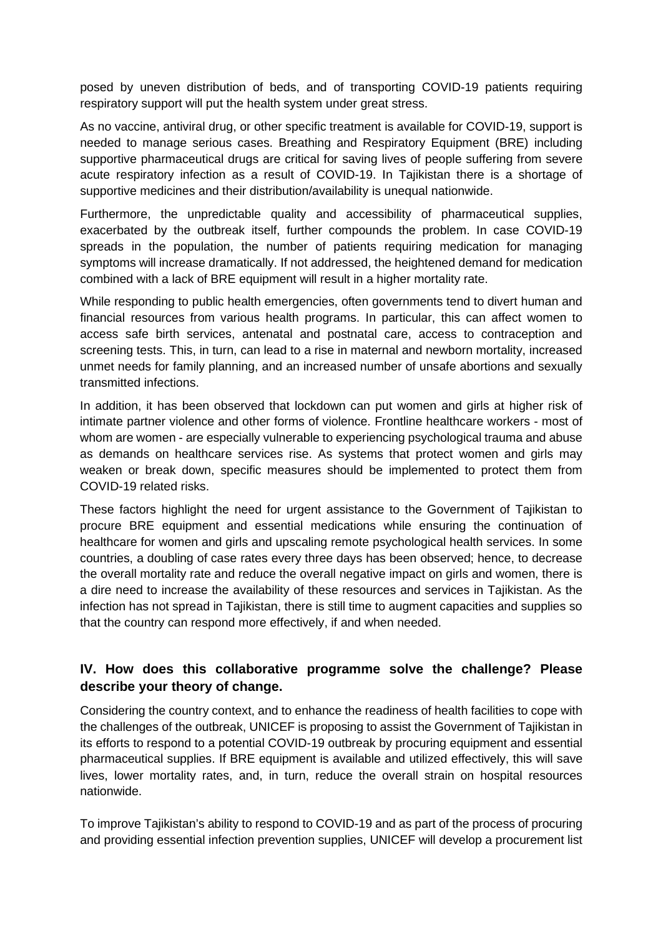posed by uneven distribution of beds, and of transporting COVID-19 patients requiring respiratory support will put the health system under great stress.

As no vaccine, antiviral drug, or other specific treatment is available for COVID-19, support is needed to manage serious cases. Breathing and Respiratory Equipment (BRE) including supportive pharmaceutical drugs are critical for saving lives of people suffering from severe acute respiratory infection as a result of COVID-19. In Tajikistan there is a shortage of supportive medicines and their distribution/availability is unequal nationwide.

Furthermore, the unpredictable quality and accessibility of pharmaceutical supplies, exacerbated by the outbreak itself, further compounds the problem. In case COVID-19 spreads in the population, the number of patients requiring medication for managing symptoms will increase dramatically. If not addressed, the heightened demand for medication combined with a lack of BRE equipment will result in a higher mortality rate.

While responding to public health emergencies, often governments tend to divert human and financial resources from various health programs. In particular, this can affect women to access safe birth services, antenatal and postnatal care, access to contraception and screening tests. This, in turn, can lead to a rise in maternal and newborn mortality, increased unmet needs for family planning, and an increased number of unsafe abortions and sexually transmitted infections.

In addition, it has been observed that lockdown can put women and girls at higher risk of intimate partner violence and other forms of violence. Frontline healthcare workers - most of whom are women - are especially vulnerable to experiencing psychological trauma and abuse as demands on healthcare services rise. As systems that protect women and girls may weaken or break down, specific measures should be implemented to protect them from COVID-19 related risks.

These factors highlight the need for urgent assistance to the Government of Tajikistan to procure BRE equipment and essential medications while ensuring the continuation of healthcare for women and girls and upscaling remote psychological health services. In some countries, a doubling of case rates every three days has been observed; hence, to decrease the overall mortality rate and reduce the overall negative impact on girls and women, there is a dire need to increase the availability of these resources and services in Tajikistan. As the infection has not spread in Tajikistan, there is still time to augment capacities and supplies so that the country can respond more effectively, if and when needed.

### **IV. How does this collaborative programme solve the challenge? Please describe your theory of change.**

Considering the country context, and to enhance the readiness of health facilities to cope with the challenges of the outbreak, UNICEF is proposing to assist the Government of Tajikistan in its efforts to respond to a potential COVID-19 outbreak by procuring equipment and essential pharmaceutical supplies. If BRE equipment is available and utilized effectively, this will save lives, lower mortality rates, and, in turn, reduce the overall strain on hospital resources nationwide.

To improve Tajikistan's ability to respond to COVID-19 and as part of the process of procuring and providing essential infection prevention supplies, UNICEF will develop a procurement list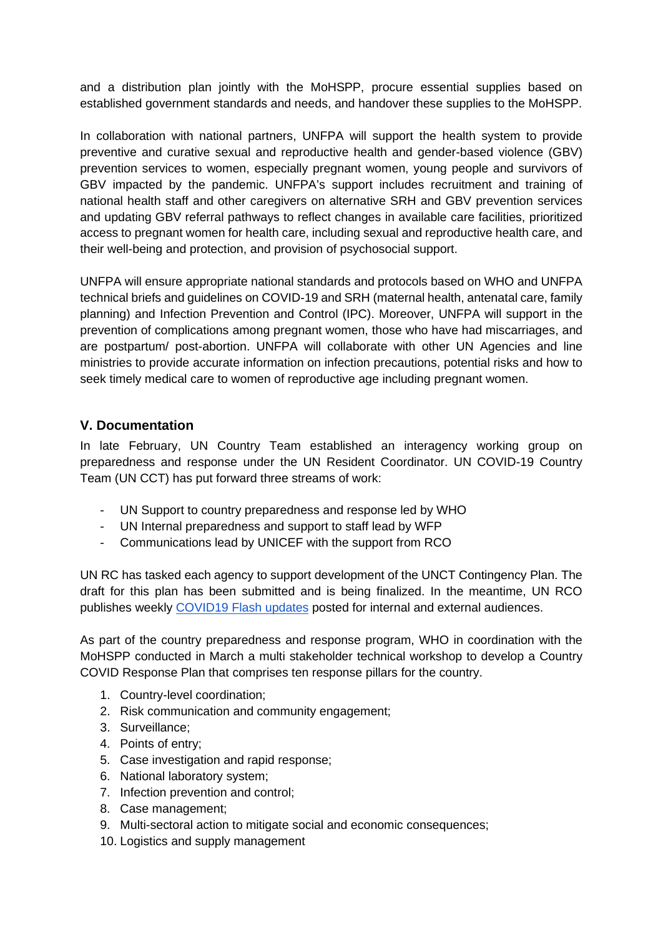and a distribution plan jointly with the MoHSPP, procure essential supplies based on established government standards and needs, and handover these supplies to the MoHSPP.

In collaboration with national partners, UNFPA will support the health system to provide preventive and curative sexual and reproductive health and gender-based violence (GBV) prevention services to women, especially pregnant women, young people and survivors of GBV impacted by the pandemic. UNFPA's support includes recruitment and training of national health staff and other caregivers on alternative SRH and GBV prevention services and updating GBV referral pathways to reflect changes in available care facilities, prioritized access to pregnant women for health care, including sexual and reproductive health care, and their well-being and protection, and provision of psychosocial support.

UNFPA will ensure appropriate national standards and protocols based on WHO and UNFPA technical briefs and guidelines on COVID-19 and SRH (maternal health, antenatal care, family planning) and Infection Prevention and Control (IPC). Moreover, UNFPA will support in the prevention of complications among pregnant women, those who have had miscarriages, and are postpartum/ post-abortion. UNFPA will collaborate with other UN Agencies and line ministries to provide accurate information on infection precautions, potential risks and how to seek timely medical care to women of reproductive age including pregnant women.

#### **V. Documentation**

In late February, UN Country Team established an interagency working group on preparedness and response under the UN Resident Coordinator. UN COVID-19 Country Team (UN CCT) has put forward three streams of work:

- UN Support to country preparedness and response led by WHO
- UN Internal preparedness and support to staff lead by WFP
- Communications lead by UNICEF with the support from RCO

UN RC has tasked each agency to support development of the UNCT Contingency Plan. The draft for this plan has been submitted and is being finalized. In the meantime, UN RCO publishes weekly [COVID19 Flash updates](https://untj.org/?page_id=12704) posted for internal and external audiences.

As part of the country preparedness and response program, WHO in coordination with the MoHSPP conducted in March a multi stakeholder technical workshop to develop a Country COVID Response Plan that comprises ten response pillars for the country.

- 1. Country-level coordination;
- 2. Risk communication and community engagement;
- 3. Surveillance;
- 4. Points of entry;
- 5. Case investigation and rapid response;
- 6. National laboratory system;
- 7. Infection prevention and control;
- 8. Case management;
- 9. Multi-sectoral action to mitigate social and economic consequences;
- 10. Logistics and supply management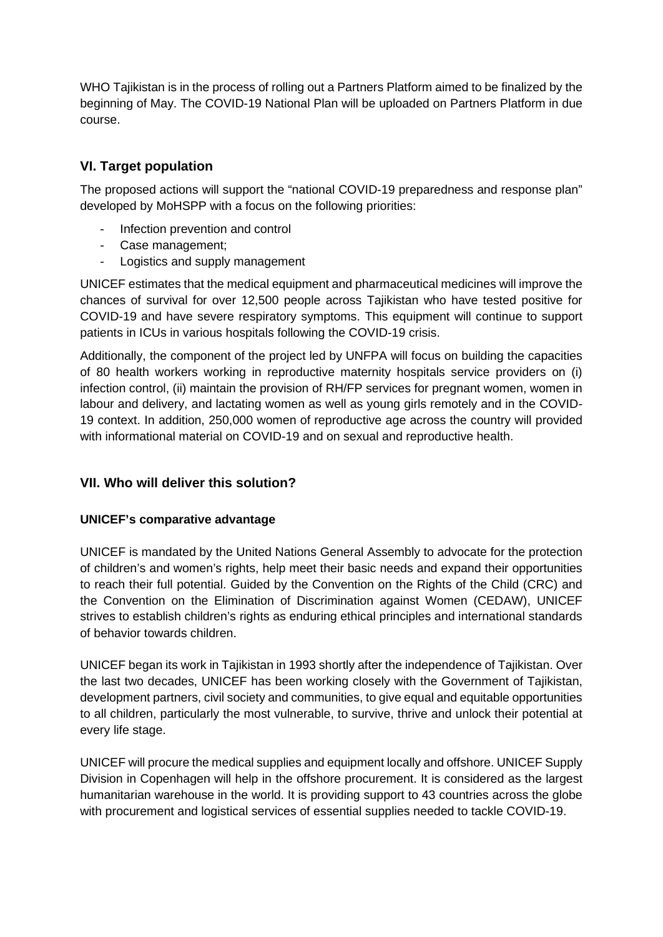WHO Tajikistan is in the process of rolling out a Partners Platform aimed to be finalized by the beginning of May. The COVID-19 National Plan will be uploaded on Partners Platform in due course.

## **VI. Target population**

The proposed actions will support the "national COVID-19 preparedness and response plan" developed by MoHSPP with a focus on the following priorities:

- Infection prevention and control
- Case management;
- Logistics and supply management

UNICEF estimates that the medical equipment and pharmaceutical medicines will improve the chances of survival for over 12,500 people across Tajikistan who have tested positive for COVID-19 and have severe respiratory symptoms. This equipment will continue to support patients in ICUs in various hospitals following the COVID-19 crisis.

Additionally, the component of the project led by UNFPA will focus on building the capacities of 80 health workers working in reproductive maternity hospitals service providers on (i) infection control, (ii) maintain the provision of RH/FP services for pregnant women, women in labour and delivery, and lactating women as well as young girls remotely and in the COVID-19 context. In addition, 250,000 women of reproductive age across the country will provided with informational material on COVID-19 and on sexual and reproductive health.

### **VII. Who will deliver this solution?**

#### **UNICEF's comparative advantage**

UNICEF is mandated by the United Nations General Assembly to advocate for the protection of children's and women's rights, help meet their basic needs and expand their opportunities to reach their full potential. Guided by the Convention on the Rights of the Child (CRC) and the Convention on the Elimination of Discrimination against Women (CEDAW), UNICEF strives to establish children's rights as enduring ethical principles and international standards of behavior towards children.

UNICEF began its work in Tajikistan in 1993 shortly after the independence of Tajikistan. Over the last two decades, UNICEF has been working closely with the Government of Tajikistan, development partners, civil society and communities, to give equal and equitable opportunities to all children, particularly the most vulnerable, to survive, thrive and unlock their potential at every life stage.

UNICEF will procure the medical supplies and equipment locally and offshore. UNICEF Supply Division in Copenhagen will help in the offshore procurement. It is considered as the largest humanitarian warehouse in the world. It is providing support to 43 countries across the globe with procurement and logistical services of essential supplies needed to tackle COVID-19.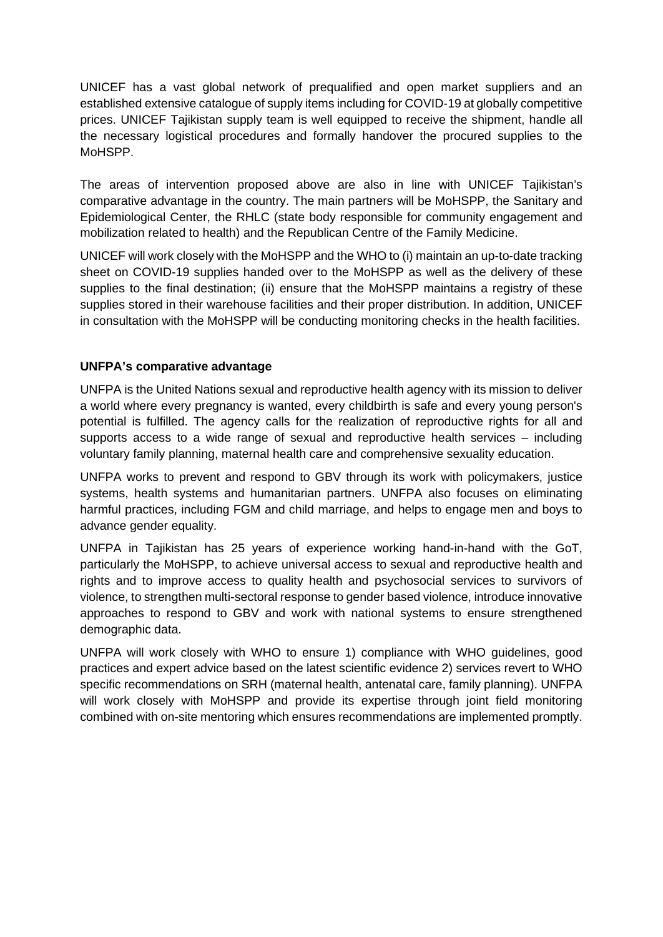UNICEF has a vast global network of prequalified and open market suppliers and an established extensive catalogue of supply items including for COVID-19 at globally competitive prices. UNICEF Tajikistan supply team is well equipped to receive the shipment, handle all the necessary logistical procedures and formally handover the procured supplies to the MoHSPP.

The areas of intervention proposed above are also in line with UNICEF Tajikistan's comparative advantage in the country. The main partners will be MoHSPP, the Sanitary and Epidemiological Center, the RHLC (state body responsible for community engagement and mobilization related to health) and the Republican Centre of the Family Medicine.

UNICEF will work closely with the MoHSPP and the WHO to (i) maintain an up-to-date tracking sheet on COVID-19 supplies handed over to the MoHSPP as well as the delivery of these supplies to the final destination; (ii) ensure that the MoHSPP maintains a registry of these supplies stored in their warehouse facilities and their proper distribution. In addition, UNICEF in consultation with the MoHSPP will be conducting monitoring checks in the health facilities.

#### **UNFPA's comparative advantage**

UNFPA is the United Nations sexual and reproductive health agency with its mission to deliver a world where every pregnancy is wanted, every childbirth is safe and every young person's potential is fulfilled. The agency calls for the realization of reproductive rights for all and supports access to a wide range of sexual and reproductive health services – including voluntary family planning, maternal health care and comprehensive sexuality education.

UNFPA works to prevent and respond to GBV through its work with policymakers, justice systems, health systems and humanitarian partners. UNFPA also focuses on eliminating harmful practices, including FGM and child marriage, and helps to engage men and boys to advance gender equality.

UNFPA in Tajikistan has 25 years of experience working hand-in-hand with the GoT, particularly the MoHSPP, to achieve universal access to sexual and reproductive health and rights and to improve access to quality health and psychosocial services to survivors of violence, to strengthen multi-sectoral response to gender based violence, introduce innovative approaches to respond to GBV and work with national systems to ensure strengthened demographic data.

UNFPA will work closely with WHO to ensure 1) compliance with WHO guidelines, good practices and expert advice based on the latest scientific evidence 2) services revert to WHO specific recommendations on SRH (maternal health, antenatal care, family planning). UNFPA will work closely with MoHSPP and provide its expertise through joint field monitoring combined with on-site mentoring which ensures recommendations are implemented promptly.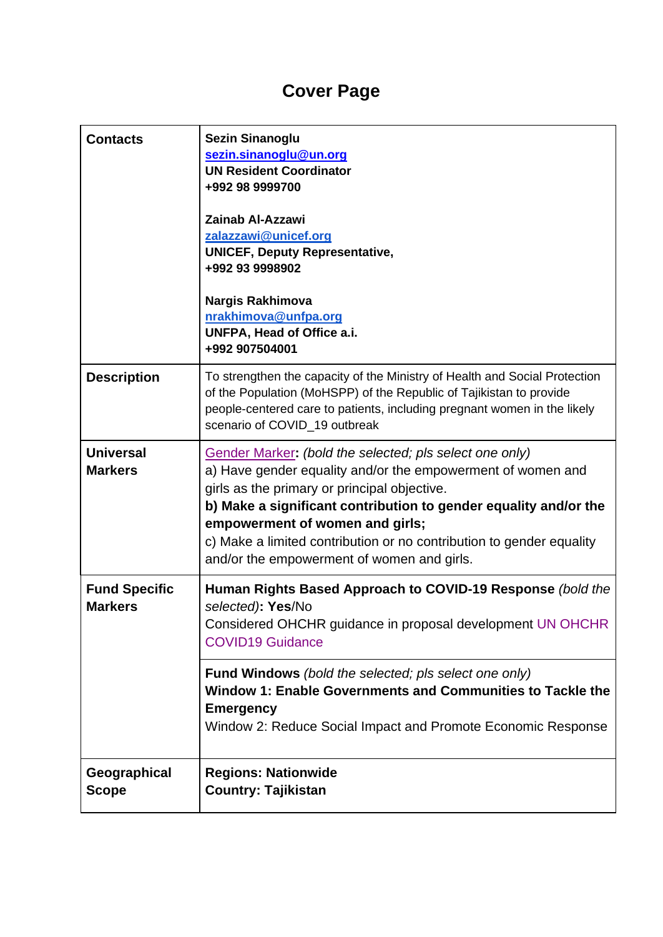# **Cover Page**

| <b>Contacts</b>                        | <b>Sezin Sinanoglu</b><br>sezin.sinanoglu@un.org<br><b>UN Resident Coordinator</b><br>+992 98 9999700<br><b>Zainab Al-Azzawi</b><br>zalazzawi@unicef.org<br><b>UNICEF, Deputy Representative,</b><br>+992 93 9998902<br><b>Nargis Rakhimova</b><br>nrakhimova@unfpa.org<br>UNFPA, Head of Office a.i.<br>+992 907504001                                                                             |
|----------------------------------------|-----------------------------------------------------------------------------------------------------------------------------------------------------------------------------------------------------------------------------------------------------------------------------------------------------------------------------------------------------------------------------------------------------|
| <b>Description</b>                     | To strengthen the capacity of the Ministry of Health and Social Protection<br>of the Population (MoHSPP) of the Republic of Tajikistan to provide<br>people-centered care to patients, including pregnant women in the likely<br>scenario of COVID_19 outbreak                                                                                                                                      |
| <b>Universal</b><br><b>Markers</b>     | Gender Marker: (bold the selected; pls select one only)<br>a) Have gender equality and/or the empowerment of women and<br>girls as the primary or principal objective.<br>b) Make a significant contribution to gender equality and/or the<br>empowerment of women and girls;<br>c) Make a limited contribution or no contribution to gender equality<br>and/or the empowerment of women and girls. |
| <b>Fund Specific</b><br><b>Markers</b> | Human Rights Based Approach to COVID-19 Response (bold the<br>selected): Yes/No<br>Considered OHCHR guidance in proposal development UN OHCHR<br><b>COVID19 Guidance</b>                                                                                                                                                                                                                            |
|                                        | Fund Windows (bold the selected; pls select one only)<br>Window 1: Enable Governments and Communities to Tackle the<br><b>Emergency</b><br>Window 2: Reduce Social Impact and Promote Economic Response                                                                                                                                                                                             |
| Geographical<br><b>Scope</b>           | <b>Regions: Nationwide</b><br><b>Country: Tajikistan</b>                                                                                                                                                                                                                                                                                                                                            |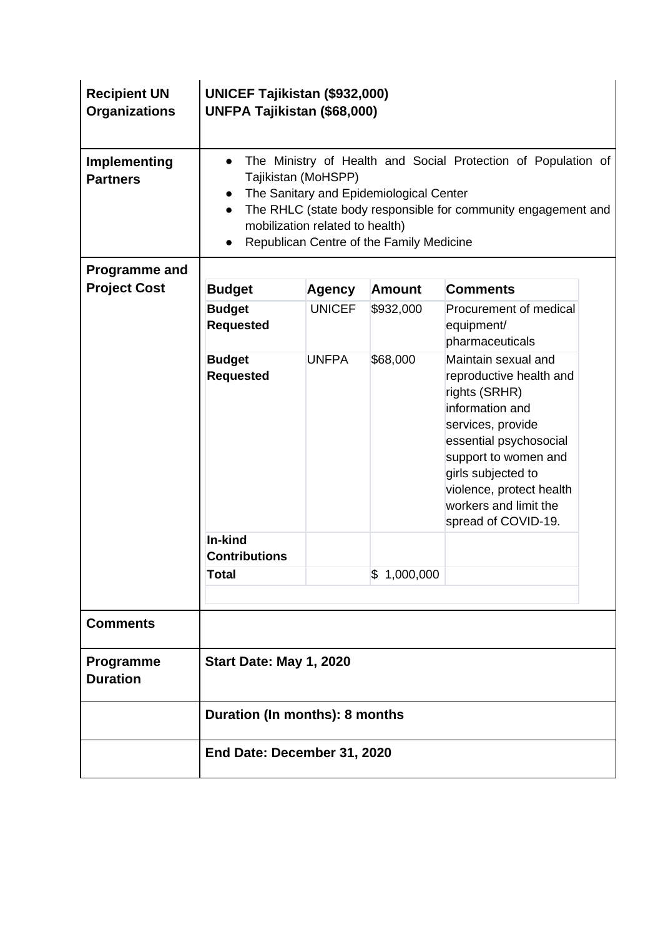| <b>Recipient UN</b><br><b>Organizations</b> | <b>UNICEF Tajikistan (\$932,000)</b><br><b>UNFPA Tajikistan (\$68,000)</b>                                                                                                                                                                                                                                |                             |               |                                                                                                                                                                                                                                                             |  |  |  |
|---------------------------------------------|-----------------------------------------------------------------------------------------------------------------------------------------------------------------------------------------------------------------------------------------------------------------------------------------------------------|-----------------------------|---------------|-------------------------------------------------------------------------------------------------------------------------------------------------------------------------------------------------------------------------------------------------------------|--|--|--|
| <b>Implementing</b><br><b>Partners</b>      | The Ministry of Health and Social Protection of Population of<br>$\bullet$<br>Tajikistan (MoHSPP)<br>The Sanitary and Epidemiological Center<br>The RHLC (state body responsible for community engagement and<br>mobilization related to health)<br>Republican Centre of the Family Medicine<br>$\bullet$ |                             |               |                                                                                                                                                                                                                                                             |  |  |  |
| Programme and<br><b>Project Cost</b>        | <b>Budget</b>                                                                                                                                                                                                                                                                                             | <b>Agency</b>               | <b>Amount</b> | <b>Comments</b>                                                                                                                                                                                                                                             |  |  |  |
|                                             | <b>Budget</b><br><b>Requested</b>                                                                                                                                                                                                                                                                         | <b>UNICEF</b>               | \$932,000     | Procurement of medical<br>equipment/<br>pharmaceuticals                                                                                                                                                                                                     |  |  |  |
|                                             | <b>Budget</b><br><b>Requested</b>                                                                                                                                                                                                                                                                         | <b>UNFPA</b>                | \$68,000      | Maintain sexual and<br>reproductive health and<br>rights (SRHR)<br>information and<br>services, provide<br>essential psychosocial<br>support to women and<br>girls subjected to<br>violence, protect health<br>workers and limit the<br>spread of COVID-19. |  |  |  |
|                                             | In-kind<br><b>Contributions</b>                                                                                                                                                                                                                                                                           |                             |               |                                                                                                                                                                                                                                                             |  |  |  |
|                                             | Total                                                                                                                                                                                                                                                                                                     |                             | \$1,000,000   |                                                                                                                                                                                                                                                             |  |  |  |
| <b>Comments</b>                             |                                                                                                                                                                                                                                                                                                           |                             |               |                                                                                                                                                                                                                                                             |  |  |  |
| Programme<br><b>Duration</b>                | <b>Start Date: May 1, 2020</b>                                                                                                                                                                                                                                                                            |                             |               |                                                                                                                                                                                                                                                             |  |  |  |
|                                             | Duration (In months): 8 months                                                                                                                                                                                                                                                                            |                             |               |                                                                                                                                                                                                                                                             |  |  |  |
|                                             |                                                                                                                                                                                                                                                                                                           | End Date: December 31, 2020 |               |                                                                                                                                                                                                                                                             |  |  |  |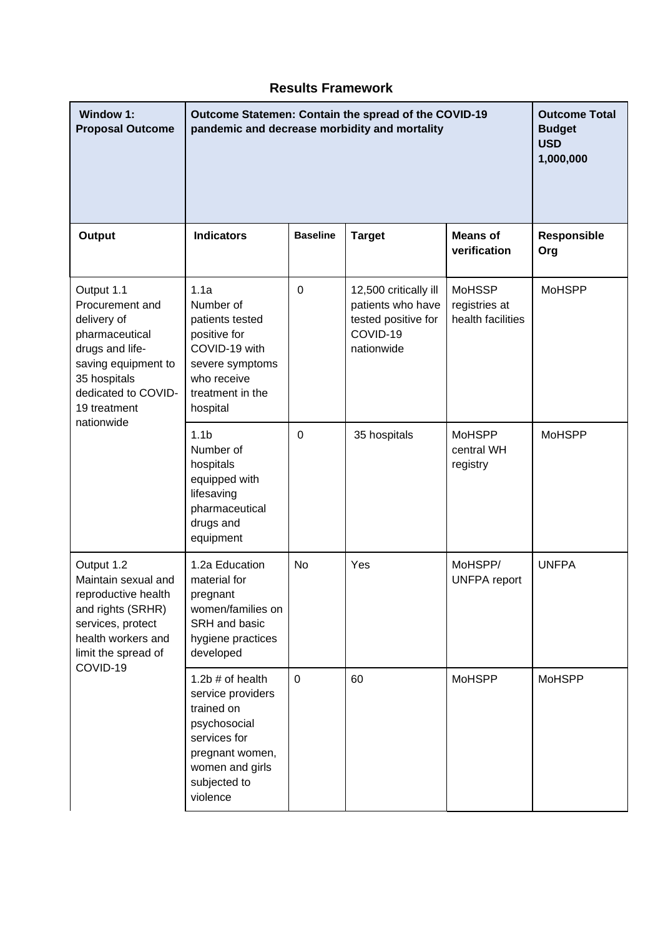## **Results Framework**

| <b>Window 1:</b><br><b>Proposal Outcome</b>                                                                                                                                   | Outcome Statemen: Contain the spread of the COVID-19<br>pandemic and decrease morbidity and mortality                                                   | <b>Outcome Total</b><br><b>Budget</b><br><b>USD</b><br>1,000,000 |                                                                                             |                                                     |                    |
|-------------------------------------------------------------------------------------------------------------------------------------------------------------------------------|---------------------------------------------------------------------------------------------------------------------------------------------------------|------------------------------------------------------------------|---------------------------------------------------------------------------------------------|-----------------------------------------------------|--------------------|
| <b>Output</b>                                                                                                                                                                 | <b>Indicators</b>                                                                                                                                       | <b>Baseline</b>                                                  | <b>Target</b>                                                                               | <b>Means of</b><br>verification                     | Responsible<br>Org |
| Output 1.1<br>Procurement and<br>delivery of<br>pharmaceutical<br>drugs and life-<br>saving equipment to<br>35 hospitals<br>dedicated to COVID-<br>19 treatment<br>nationwide | 1.1a<br>Number of<br>patients tested<br>positive for<br>COVID-19 with<br>severe symptoms<br>who receive<br>treatment in the<br>hospital                 | $\mathbf 0$                                                      | 12,500 critically ill<br>patients who have<br>tested positive for<br>COVID-19<br>nationwide | <b>MoHSSP</b><br>registries at<br>health facilities | <b>MoHSPP</b>      |
|                                                                                                                                                                               | 1.1 <sub>b</sub><br>Number of<br>hospitals<br>equipped with<br>lifesaving<br>pharmaceutical<br>drugs and<br>equipment                                   | $\mathbf 0$                                                      | 35 hospitals                                                                                | <b>MoHSPP</b><br>central WH<br>registry             | <b>MoHSPP</b>      |
| Output 1.2<br>Maintain sexual and<br>reproductive health<br>and rights (SRHR)<br>services, protect<br>health workers and<br>limit the spread of<br>COVID-19                   | 1.2a Education<br>material for<br>pregnant<br>women/families on<br>SRH and basic<br>hygiene practices<br>developed                                      | <b>No</b>                                                        | Yes                                                                                         | MoHSPP/<br><b>UNFPA</b> report                      | <b>UNFPA</b>       |
|                                                                                                                                                                               | 1.2b $#$ of health<br>service providers<br>trained on<br>psychosocial<br>services for<br>pregnant women,<br>women and girls<br>subjected to<br>violence | $\mathbf 0$                                                      | 60                                                                                          | <b>MoHSPP</b>                                       | <b>MoHSPP</b>      |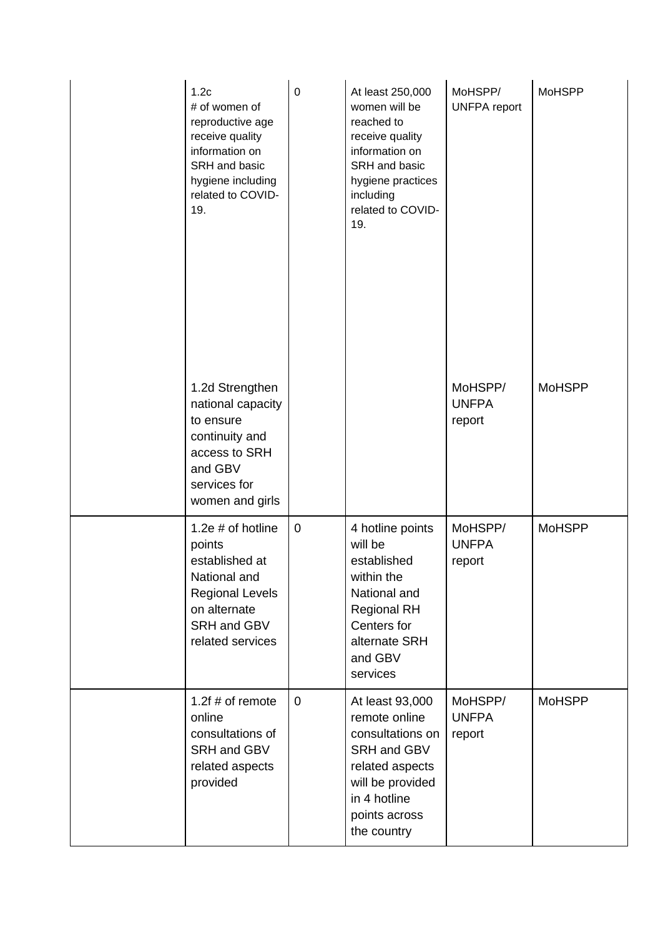| 1.2c<br># of women of<br>reproductive age<br>receive quality<br>information on<br>SRH and basic<br>hygiene including<br>related to COVID-<br>19. | $\mathbf 0$    | At least 250,000<br>women will be<br>reached to<br>receive quality<br>information on<br>SRH and basic<br>hygiene practices<br>including<br>related to COVID-<br>19. | MoHSPP/<br><b>UNFPA</b> report    | <b>MoHSPP</b> |
|--------------------------------------------------------------------------------------------------------------------------------------------------|----------------|---------------------------------------------------------------------------------------------------------------------------------------------------------------------|-----------------------------------|---------------|
| 1.2d Strengthen<br>national capacity<br>to ensure<br>continuity and<br>access to SRH<br>and GBV<br>services for<br>women and girls               |                |                                                                                                                                                                     | MoHSPP/<br><b>UNFPA</b><br>report | <b>MoHSPP</b> |
| 1.2e # of hotline<br>points<br>established at<br>National and<br><b>Regional Levels</b><br>on alternate<br>SRH and GBV<br>related services       | $\overline{0}$ | 4 hotline points<br>will be<br>established<br>within the<br>National and<br><b>Regional RH</b><br>Centers for<br>alternate SRH<br>and GBV<br>services               | MoHSPP/<br><b>UNFPA</b><br>report | <b>MoHSPP</b> |
| 1.2f $#$ of remote<br>online<br>consultations of<br>SRH and GBV<br>related aspects<br>provided                                                   | 0              | At least 93,000<br>remote online<br>consultations on<br>SRH and GBV<br>related aspects<br>will be provided<br>in 4 hotline<br>points across<br>the country          | MoHSPP/<br><b>UNFPA</b><br>report | <b>MoHSPP</b> |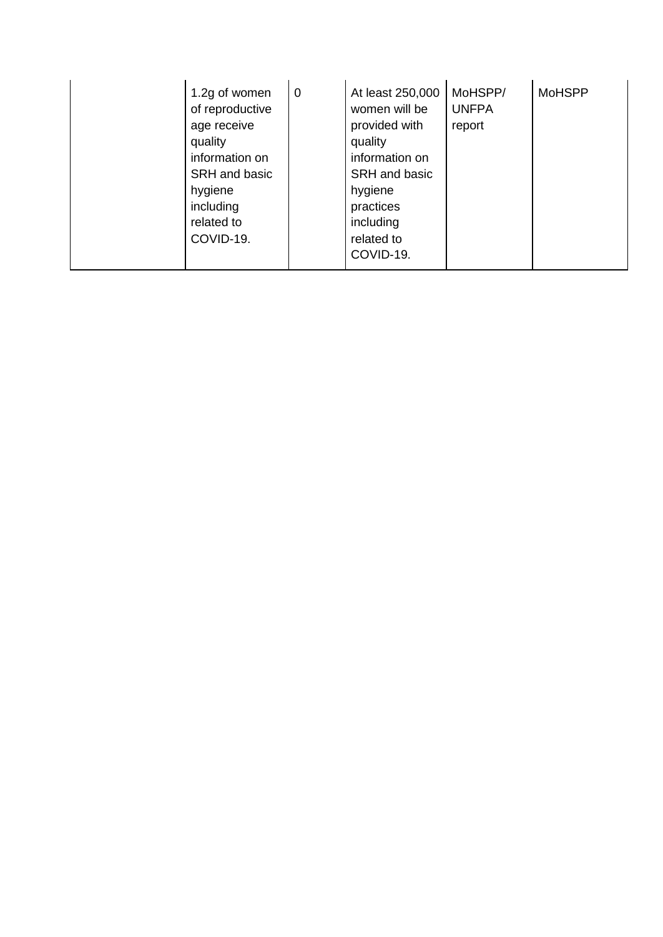|  | 1.2g of women<br>of reproductive<br>age receive<br>quality<br>information on<br><b>SRH</b> and basic<br>hygiene<br>including<br>related to<br>COVID-19. | $\overline{0}$ | At least 250,000<br>women will be<br>provided with<br>quality<br>information on<br>SRH and basic<br>hygiene<br>practices<br>including<br>related to<br>COVID-19. | MoHSPP/<br><b>UNFPA</b><br>report | <b>MoHSPP</b> |
|--|---------------------------------------------------------------------------------------------------------------------------------------------------------|----------------|------------------------------------------------------------------------------------------------------------------------------------------------------------------|-----------------------------------|---------------|
|--|---------------------------------------------------------------------------------------------------------------------------------------------------------|----------------|------------------------------------------------------------------------------------------------------------------------------------------------------------------|-----------------------------------|---------------|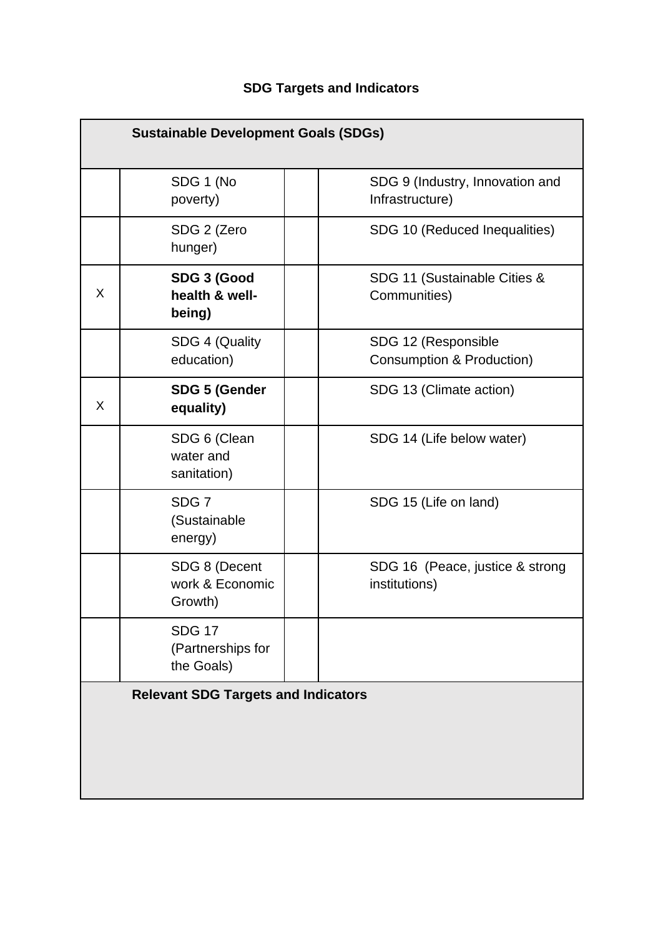## **SDG Targets and Indicators**

|                                            | <b>Sustainable Development Goals (SDGs)</b>      |                                                    |  |  |  |  |  |
|--------------------------------------------|--------------------------------------------------|----------------------------------------------------|--|--|--|--|--|
|                                            | SDG 1 (No<br>poverty)                            | SDG 9 (Industry, Innovation and<br>Infrastructure) |  |  |  |  |  |
|                                            | SDG 2 (Zero<br>hunger)                           | SDG 10 (Reduced Inequalities)                      |  |  |  |  |  |
| X                                          | SDG 3 (Good<br>health & well-<br>being)          | SDG 11 (Sustainable Cities &<br>Communities)       |  |  |  |  |  |
|                                            | SDG 4 (Quality<br>education)                     | SDG 12 (Responsible<br>Consumption & Production)   |  |  |  |  |  |
| X                                          | <b>SDG 5 (Gender</b><br>equality)                | SDG 13 (Climate action)                            |  |  |  |  |  |
|                                            | SDG 6 (Clean<br>water and<br>sanitation)         | SDG 14 (Life below water)                          |  |  |  |  |  |
|                                            | SDG <sub>7</sub><br>(Sustainable<br>energy)      | SDG 15 (Life on land)                              |  |  |  |  |  |
|                                            | SDG 8 (Decent<br>work & Economic<br>Growth)      | SDG 16 (Peace, justice & strong<br>institutions)   |  |  |  |  |  |
|                                            | <b>SDG 17</b><br>(Partnerships for<br>the Goals) |                                                    |  |  |  |  |  |
| <b>Relevant SDG Targets and Indicators</b> |                                                  |                                                    |  |  |  |  |  |
|                                            |                                                  |                                                    |  |  |  |  |  |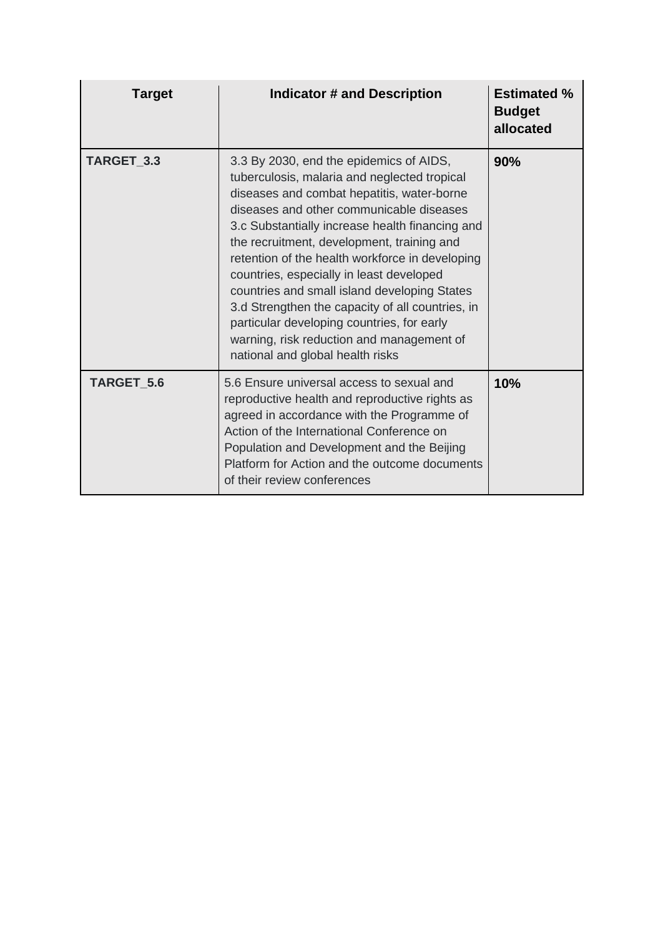| <b>Target</b>          | <b>Indicator # and Description</b>                                                                                                                                                                                                                                                                                                                                                                                                                                                                                                                                                                                   | <b>Estimated %</b><br><b>Budget</b><br>allocated |
|------------------------|----------------------------------------------------------------------------------------------------------------------------------------------------------------------------------------------------------------------------------------------------------------------------------------------------------------------------------------------------------------------------------------------------------------------------------------------------------------------------------------------------------------------------------------------------------------------------------------------------------------------|--------------------------------------------------|
| TARGET <sub>_3.3</sub> | 3.3 By 2030, end the epidemics of AIDS,<br>tuberculosis, malaria and neglected tropical<br>diseases and combat hepatitis, water-borne<br>diseases and other communicable diseases<br>3.c Substantially increase health financing and<br>the recruitment, development, training and<br>retention of the health workforce in developing<br>countries, especially in least developed<br>countries and small island developing States<br>3.d Strengthen the capacity of all countries, in<br>particular developing countries, for early<br>warning, risk reduction and management of<br>national and global health risks | 90%                                              |
| TARGET_5.6             | 5.6 Ensure universal access to sexual and<br>reproductive health and reproductive rights as<br>agreed in accordance with the Programme of<br>Action of the International Conference on<br>Population and Development and the Beijing<br>Platform for Action and the outcome documents<br>of their review conferences                                                                                                                                                                                                                                                                                                 | 10%                                              |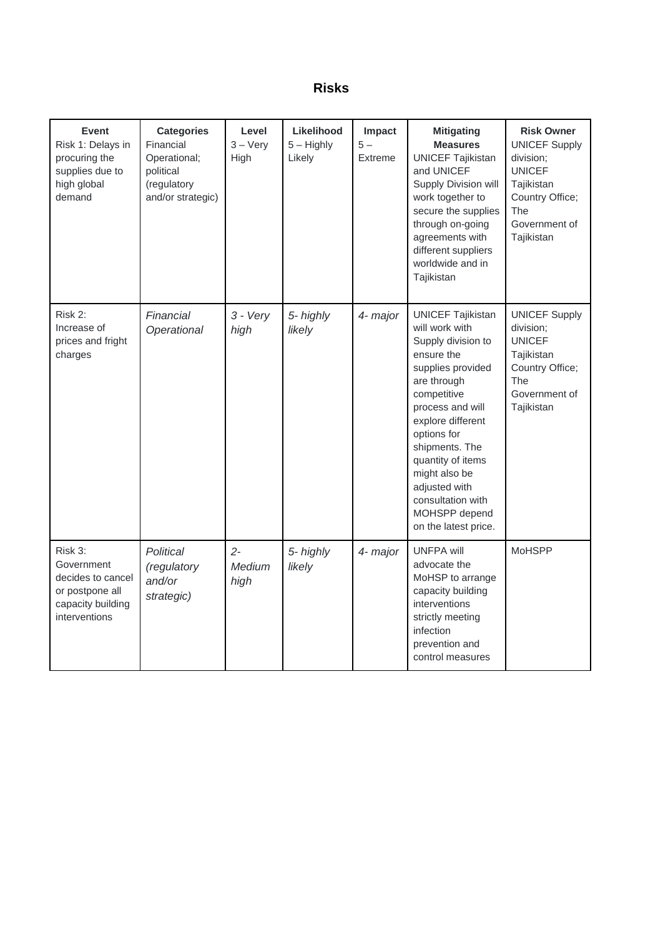## **Risks**

| <b>Event</b><br>Risk 1: Delays in<br>procuring the<br>supplies due to<br>high global<br>demand      | <b>Categories</b><br>Financial<br>Operational:<br>political<br>(regulatory<br>and/or strategic) | Level<br>$3 - \text{Very}$<br>High | Likelihood<br>$5 -$ Highly<br>Likely | Impact<br>$5 -$<br>Extreme | <b>Mitigating</b><br><b>Measures</b><br><b>UNICEF Tajikistan</b><br>and UNICEF<br>Supply Division will<br>work together to<br>secure the supplies<br>through on-going<br>agreements with<br>different suppliers<br>worldwide and in<br>Tajikistan                                                                                | <b>Risk Owner</b><br><b>UNICEF Supply</b><br>division:<br><b>UNICEF</b><br>Tajikistan<br>Country Office;<br><b>The</b><br>Government of<br>Tajikistan |
|-----------------------------------------------------------------------------------------------------|-------------------------------------------------------------------------------------------------|------------------------------------|--------------------------------------|----------------------------|----------------------------------------------------------------------------------------------------------------------------------------------------------------------------------------------------------------------------------------------------------------------------------------------------------------------------------|-------------------------------------------------------------------------------------------------------------------------------------------------------|
| Risk 2:<br>Increase of<br>prices and fright<br>charges                                              | Financial<br>Operational                                                                        | $3 - V$ ery<br>high                | 5- highly<br>likely                  | 4- major                   | <b>UNICEF Tajikistan</b><br>will work with<br>Supply division to<br>ensure the<br>supplies provided<br>are through<br>competitive<br>process and will<br>explore different<br>options for<br>shipments. The<br>quantity of items<br>might also be<br>adjusted with<br>consultation with<br>MOHSPP depend<br>on the latest price. | <b>UNICEF Supply</b><br>division;<br><b>UNICEF</b><br>Tajikistan<br>Country Office;<br>The<br>Government of<br>Tajikistan                             |
| Risk 3:<br>Government<br>decides to cancel<br>or postpone all<br>capacity building<br>interventions | Political<br>(regulatory<br>and/or<br>strategic)                                                | $2 -$<br>Medium<br>high            | 5- highly<br>likely                  | 4- major                   | <b>UNFPA will</b><br>advocate the<br>MoHSP to arrange<br>capacity building<br>interventions<br>strictly meeting<br>infection<br>prevention and<br>control measures                                                                                                                                                               | <b>MoHSPP</b>                                                                                                                                         |